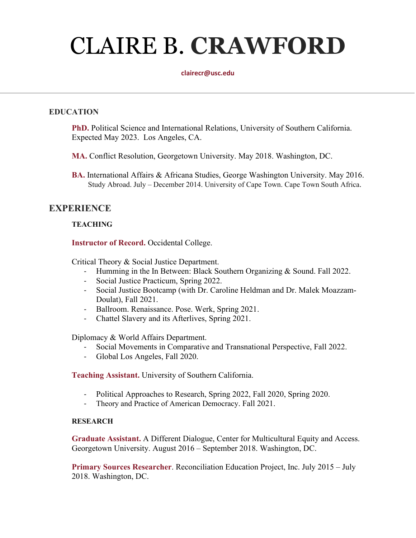# CLAIRE B. **CRAWFORD**

#### **clairecr@usc.edu**

#### **EDUCATION**

**PhD.** Political Science and International Relations, University of Southern California. Expected May 2023. Los Angeles, CA.

**MA.** Conflict Resolution, Georgetown University. May 2018. Washington, DC.

**BA.** International Affairs & Africana Studies, George Washington University. May 2016. Study Abroad. July – December 2014. University of Cape Town. Cape Town South Africa.

## **EXPERIENCE**

#### **TEACHING**

**Instructor of Record.** Occidental College.

Critical Theory & Social Justice Department.

- Humming in the In Between: Black Southern Organizing & Sound. Fall 2022.
- Social Justice Practicum, Spring 2022.
- Social Justice Bootcamp (with Dr. Caroline Heldman and Dr. Malek Moazzam-Doulat), Fall 2021.
- Ballroom. Renaissance. Pose. Werk, Spring 2021.
- Chattel Slavery and its Afterlives, Spring 2021.

Diplomacy & World Affairs Department.

- Social Movements in Comparative and Transnational Perspective, Fall 2022.
- Global Los Angeles, Fall 2020.

**Teaching Assistant.** University of Southern California.

- Political Approaches to Research, Spring 2022, Fall 2020, Spring 2020.
- Theory and Practice of American Democracy. Fall 2021.

#### **RESEARCH**

**Graduate Assistant.** A Different Dialogue, Center for Multicultural Equity and Access. Georgetown University. August 2016 – September 2018. Washington, DC.

**Primary Sources Researcher**. Reconciliation Education Project, Inc. July 2015 – July 2018. Washington, DC.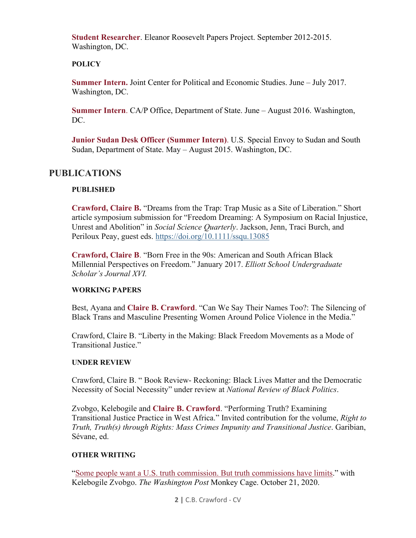**Student Researcher**. Eleanor Roosevelt Papers Project. September 2012-2015. Washington, DC.

#### **POLICY**

**Summer Intern.** Joint Center for Political and Economic Studies. June – July 2017. Washington, DC.

**Summer Intern**. CA/P Office, Department of State. June – August 2016. Washington, DC.

**Junior Sudan Desk Officer (Summer Intern)**. U.S. Special Envoy to Sudan and South Sudan, Department of State. May – August 2015. Washington, DC.

# **PUBLICATIONS**

#### **PUBLISHED**

**Crawford, Claire B.** "Dreams from the Trap: Trap Music as a Site of Liberation." Short article symposium submission for "Freedom Dreaming: A Symposium on Racial Injustice, Unrest and Abolition" in *Social Science Quarterly*. Jackson, Jenn, Traci Burch, and Periloux Peay, guest eds.<https://doi.org/10.1111/ssqu.13085>

**Crawford, Claire B**. "Born Free in the 90s: American and South African Black Millennial Perspectives on Freedom." January 2017. *Elliott School Undergraduate Scholar's Journal XVI.*

#### **WORKING PAPERS**

Best, Ayana and **Claire B. Crawford**. "Can We Say Their Names Too?: The Silencing of Black Trans and Masculine Presenting Women Around Police Violence in the Media."

Crawford, Claire B. "Liberty in the Making: Black Freedom Movements as a Mode of Transitional Justice."

#### **UNDER REVIEW**

Crawford, Claire B. " Book Review- Reckoning: Black Lives Matter and the Democratic Necessity of Social Necessity" under review at *National Review of Black Politics*.

Zvobgo, Kelebogile and **Claire B. Crawford**. "Performing Truth? Examining Transitional Justice Practice in West Africa." Invited contribution for the volume, *Right to Truth, Truth(s) through Rights: Mass Crimes Impunity and Transitional Justice*. Garibian, Sévane, ed.

#### **OTHER WRITING**

["Some people want a U.S. truth commission. But truth commissions have limits.](https://www.washingtonpost.com/politics/2020/10/21/people-want-truth-commission-if-trump-loses-truth-commissions-have-limits/)" with Kelebogile Zvobgo. *The Washington Post* Monkey Cage. October 21, 2020.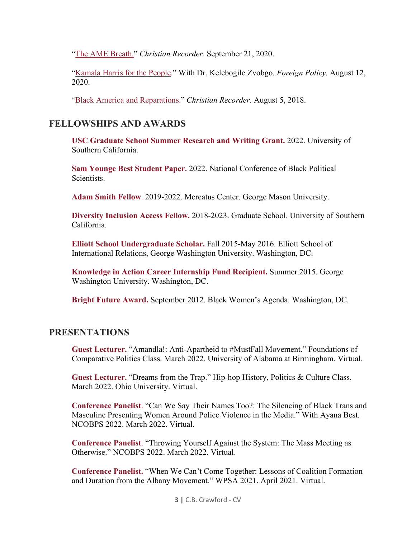["The AME Breath."](https://www.thechristianrecorder.com/the-ame-breath/) *Christian Recorder.* September 21, 2020.

["Kamala Harris for the People.](https://foreignpolicy.com/2020/08/12/kamala-harris-biden-vice-president/)" With Dr. Kelebogile Zvobgo. *Foreign Policy.* August 12, 2020.

["Black America and Reparations.](https://www.thechristianrecorder.com/black-america-and-reparations/)" *Christian Recorder.* August 5, 2018.

## **FELLOWSHIPS AND AWARDS**

**USC Graduate School Summer Research and Writing Grant.** 2022. University of Southern California.

**Sam Younge Best Student Paper.** 2022. National Conference of Black Political Scientists.

**Adam Smith Fellow**. 2019-2022. Mercatus Center. George Mason University.

**Diversity Inclusion Access Fellow.** 2018-2023. Graduate School. University of Southern California.

**Elliott School Undergraduate Scholar.** Fall 2015-May 2016. Elliott School of International Relations, George Washington University. Washington, DC.

**Knowledge in Action Career Internship Fund Recipient.** Summer 2015. George Washington University. Washington, DC.

**Bright Future Award.** September 2012. Black Women's Agenda. Washington, DC.

## **PRESENTATIONS**

**Guest Lecturer.** "Amandla!: Anti-Apartheid to #MustFall Movement." Foundations of Comparative Politics Class. March 2022. University of Alabama at Birmingham. Virtual.

**Guest Lecturer.** "Dreams from the Trap." Hip-hop History, Politics & Culture Class. March 2022. Ohio University. Virtual.

**Conference Panelist**. "Can We Say Their Names Too?: The Silencing of Black Trans and Masculine Presenting Women Around Police Violence in the Media." With Ayana Best. NCOBPS 2022. March 2022. Virtual.

**Conference Panelist**. "Throwing Yourself Against the System: The Mass Meeting as Otherwise." NCOBPS 2022. March 2022. Virtual.

**Conference Panelist.** "When We Can't Come Together: Lessons of Coalition Formation and Duration from the Albany Movement." WPSA 2021. April 2021. Virtual.